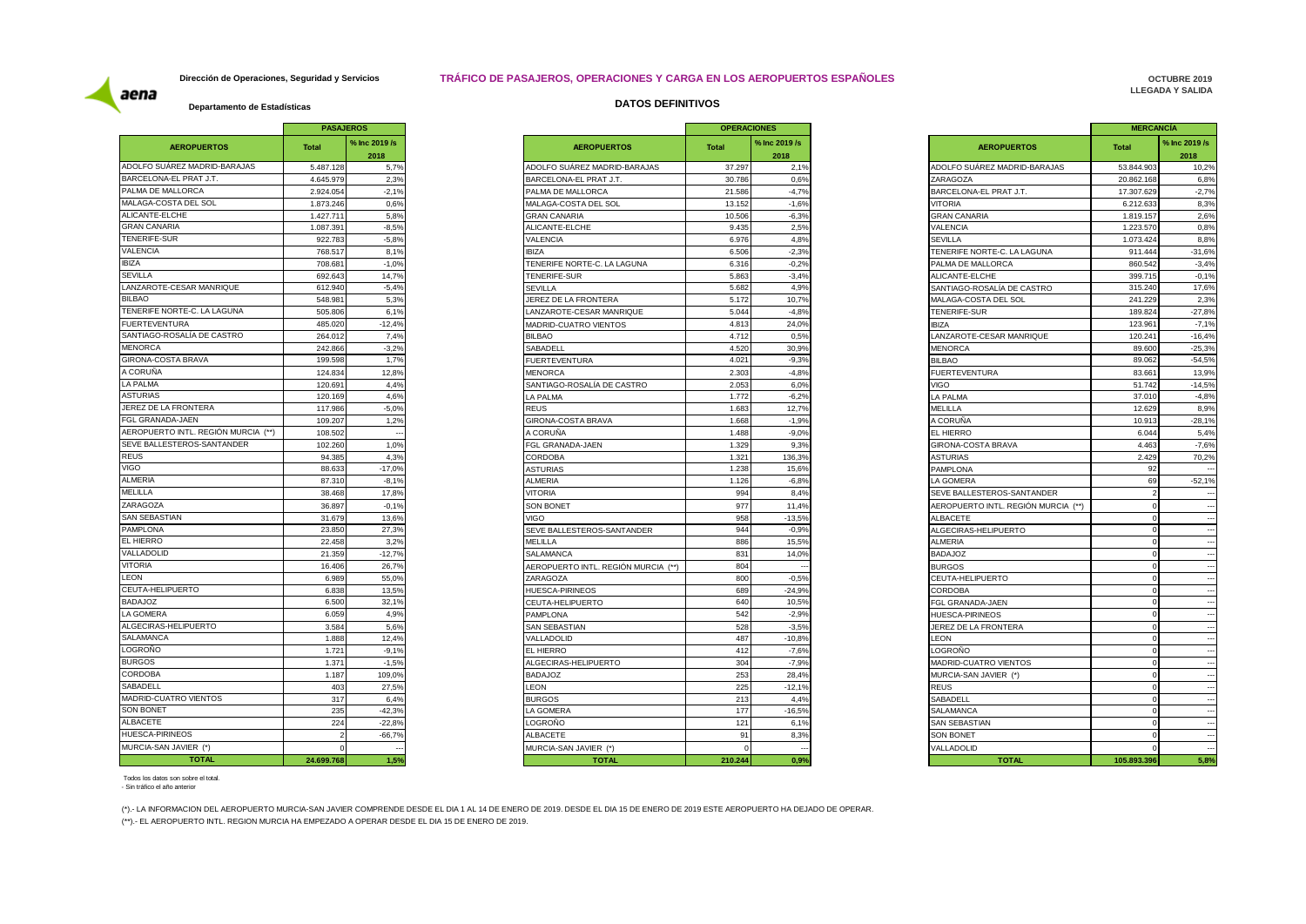#### **Dirección de Operaciones, Seguridad y Servicios TRÁFICO DE PASAJEROS, OPERACIONES Y CARGA EN LOS AEROPUERTOS ESPAÑOLES**

**OCTUBRE 2019 LLEGADA Y SALIDA** 

# aena

|                                     | <b>PASAJEROS</b> |                       |                     |
|-------------------------------------|------------------|-----------------------|---------------------|
| <b>AEROPUERTOS</b>                  | <b>Total</b>     | % Inc 2019 /s<br>2018 |                     |
| ADOLFO SUÁREZ MADRID-BARAJAS        | 5.487.128        | 5,7%                  | ADOLFO SUÁR         |
| BARCELONA-EL PRAT J.T.              | 4.645.979        | 2,3%                  | <b>BARCELONA-E</b>  |
| PALMA DE MALLORCA                   | 2.924.054        | $-2,1%$               | PALMA DE MAI        |
| MALAGA-COSTA DEL SOL                | 1.873.246        | 0,6%                  | MALAGA-COST         |
| ALICANTE-ELCHE                      | 1.427.711        | 5,8%                  | GRAN CANARI         |
| <b>GRAN CANARIA</b>                 | 1.087.391        | $-8,5%$               | ALICANTE-ELC        |
| TENERIFE-SUR                        | 922.783          | $-5.8%$               | <b>VALENCIA</b>     |
| <b>VALENCIA</b>                     | 768.517          | 8,1%                  | <b>IBIZA</b>        |
| <b>IBIZA</b>                        | 708.681          | $-1,0%$               | <b>TENERIFE NOI</b> |
| <b>SEVILLA</b>                      | 692.643          | 14,7%                 | <b>TENERIFE-SUR</b> |
| <b>LANZAROTE-CESAR MANRIQUE</b>     | 612.940          | $-5,4%$               | <b>SEVILLA</b>      |
| <b>BILBAO</b>                       | 548.981          | 5,3%                  | JEREZ DE LA F       |
| TENERIFE NORTE-C. LA LAGUNA         | 505.806          | 6,1%                  | LANZAROTE-C         |
| <b>FUERTEVENTURA</b>                | 485.020          | $-12,4%$              | MADRID-CUAT         |
| SANTIAGO-ROSALÍA DE CASTRO          | 264.012          | 7.4%                  | <b>BILBAO</b>       |
| <b>MENORCA</b>                      | 242.866          | $-3,2%$               | SABADELL            |
| <b>GIRONA-COSTA BRAVA</b>           | 199.598          | 1,7%                  | <b>FUERTEVENTI</b>  |
| A CORUÑA                            | 124.834          | 12,8%                 | <b>MENORCA</b>      |
| <b>LA PALMA</b>                     | 120.691          | 4,4%                  | SANTIAGO-RO         |
| <b>ASTURIAS</b>                     | 120.169          | 4,6%                  | LA PALMA            |
| JEREZ DE LA FRONTERA                | 117.986          | $-5,0%$               | <b>REUS</b>         |
| FGL GRANADA-JAEN                    | 109.207          | 1,2%                  | <b>GIRONA-COST</b>  |
| AEROPUERTO INTL. REGIÓN MURCIA (**) | 108.502          |                       | A CORUÑA            |
| SEVE BALLESTEROS-SANTANDER          | 102.260          | 1,0%                  | FGL GRANADA         |
| <b>REUS</b>                         | 94.385           | 4,3%                  | CORDOBA             |
| <b>VIGO</b>                         | 88.633           | $-17,0%$              | ASTURIAS            |
| ALMERIA                             | 87.310           | $-8,1%$               | <b>ALMERIA</b>      |
| MELILLA                             | 38.468           | 17,8%                 | VITORIA             |
| ZARAGOZA                            | 36.897           | $-0,1%$               | <b>SON BONET</b>    |
| <b>SAN SEBASTIAN</b>                | 31.679           | 13,6%                 | <b>VIGO</b>         |
| <b>PAMPLONA</b>                     | 23.850           | 27,3%                 | <b>SEVE BALLEST</b> |
| EL HIERRO                           | 22.458           | 3,2%                  | MELILLA             |
| VALLADOLID                          | 21.359           | $-12,7%$              | SALAMANCA           |
| <b>VITORIA</b>                      | 16.406           | 26,7%                 | <b>AEROPUERTO</b>   |
| <b>LEON</b>                         | 6.989            | 55.0%                 | ZARAGOZA            |
| CEUTA-HELIPUERTO                    | 6.838            | 13,5%                 | <b>HUESCA-PIRIN</b> |
| <b>BADAJOZ</b>                      | 6.500            | 32,1%                 | CEUTA-HELIPL        |
| LA GOMERA                           | 6.059            | 4,9%                  | <b>PAMPLONA</b>     |
| ALGECIRAS-HELIPUERTO                | 3.584            | 5,6%                  | SAN SEBASTIA        |
| SALAMANCA                           | 1.888            | 12,4%                 | VALLADOLID          |
| LOGROÑO                             | 1.721            | $-9,1%$               | EL HIERRO           |
| <b>BURGOS</b>                       | 1.371            | $-1,5%$               | ALGECIRAS-HI        |
| <b>CORDOBA</b>                      | 1.187            | 109,0%                | <b>BADAJOZ</b>      |
| SABADELL                            | 403              | 27,5%                 | LEON                |
| MADRID-CUATRO VIENTOS               | 317              | 6,4%                  | <b>BURGOS</b>       |
| SON BONET                           | 235              | $-42,3%$              | LA GOMERA           |
| <b>ALBACETE</b>                     | 224              | $-22.8%$              | LOGROÑO             |
| HUESCA-PIRINEOS                     | 2                | $-66,7%$              | ALBACETE            |
| MURCIA-SAN JAVIER (*)               | 0                |                       | MURCIA-SAN J        |
| <b>TOTAL</b>                        | 24.699.768       | 1,5%                  |                     |

| Departamento de Estadísticas | <b>DATOS DEFINITIVOS</b> |
|------------------------------|--------------------------|
|------------------------------|--------------------------|

|                       | - FAJAJLIVO              |                                                  | <b>UFLIVAULUILU</b> |                       |                                         | <b>MLNVANVIA</b>     |                       |
|-----------------------|--------------------------|--------------------------------------------------|---------------------|-----------------------|-----------------------------------------|----------------------|-----------------------|
| ital                  | % Inc 2019 /s<br>2018    | <b>AEROPUERTOS</b>                               | <b>Total</b>        | % Inc 2019 /s<br>2018 | <b>AEROPUERTOS</b>                      | <b>Total</b>         | % Inc 2019 /s<br>2018 |
| 5.487.128             | 5,7%                     | ADOLFO SUÁREZ MADRID-BARAJAS                     | 37.297              | 2,1%                  | ADOLFO SUÁREZ MADRID-BARAJAS            | 53.844.903           | 10,2%                 |
| 4.645.979             | 2,3%                     | BARCELONA-EL PRAT J.T.                           | 30,786              | 0.6%                  | ZARAGOZA                                | 20.862.168           | 6,8%                  |
| 2.924.054             | $-2,1%$                  | PALMA DE MALLORCA                                | 21.586              | $-4,7%$               | BARCELONA-EL PRAT J.T.                  | 17.307.629           | $-2,7%$               |
| 1.873.246             | 0.6%                     | MALAGA-COSTA DEL SOL                             | 13.152              | $-1,6%$               | <b>VITORIA</b>                          | 6.212.633            | 8,3%                  |
| 1.427.711             | 5,8%                     | <b>GRAN CANARIA</b>                              | 10.506              | $-6,3%$               | <b>GRAN CANARIA</b>                     | 1.819.157            | 2,6%                  |
| 1.087.391             | $-8,5%$                  | ALICANTE-ELCHE                                   | 9.435               | 2,5%                  | VALENCIA                                | 1.223.570            | 0,8%                  |
| 922.783               | $-5,8%$                  | VALENCIA                                         | 6.976               | 4,8%                  | <b>SEVILLA</b>                          | 1.073.424            | 8,8%                  |
| 768.517               | 8,1%                     | <b>BIZA</b>                                      | 6.506               | $-2,3%$               | TENERIFE NORTE-C. LA LAGUNA             | 911.444              | $-31,6%$              |
| 708.681               | $-1,0%$                  | TENERIFE NORTE-C. LA LAGUNA                      | 6.316               | $-0.2%$               | PALMA DE MALLORCA                       | 860.542              | $-3,4%$               |
| 692.643               | 14,7%                    | TENERIFE-SUR                                     | 5.863               | $-3,4%$               | ALICANTE-ELCHE                          | 399.715              | $-0,1%$               |
| 612.940               | $-5,4%$                  | <b>SEVILLA</b>                                   | 5.682               | 4,9%                  | SANTIAGO-ROSALÍA DE CASTRO              | 315.240              | 17,6%                 |
| 548.981               | 5,3%                     | JEREZ DE LA FRONTERA                             | 5.172               | 10,7%                 | MALAGA-COSTA DEL SOL                    | 241.229              |                       |
| 505.806               | 6,1%                     | ANZAROTE-CESAR MANRIQUE                          | 5.044               | $-4,8%$               | TENERIFE-SUR                            | 189.824              | $-27,8%$              |
| 485.020               | $-12,4%$                 | MADRID-CUATRO VIENTOS                            | 4.813               | 24,0%                 | <b>IBIZA</b>                            | 123.96               | $-7,1%$               |
| 264.012               | 7,4%                     | <b>BILBAO</b>                                    | 4.712               | 0.5%                  | LANZAROTE-CESAR MANRIQUE                | 120.24               | $-16,4%$              |
| 242.866               | $-3,2%$                  | SABADELL                                         | 4.520               | 30,9%                 | <b>MENORCA</b>                          | 89.600               | $-25,3%$              |
| 199.598               | 1,7%                     | <b>FUERTEVENTURA</b>                             | 4.021               | $-9,3%$               | <b>BILBAO</b>                           | 89.062               | $-54,5%$              |
| 124.834               | 12,8%                    | <b>MENORCA</b>                                   | 2.303               | $-4,8%$               | <b>FUERTEVENTURA</b>                    | 83.66                |                       |
| 120.691               | 4,4%                     | SANTIAGO-ROSALÍA DE CASTRO                       | 2.053               | 6,0%                  | <b>VIGO</b>                             | 51.742               | $-14,5%$              |
| 120.169               | 4,6%                     | LA PALMA                                         | 1.772               | $-6,2%$               | LA PALMA                                | 37.010               |                       |
| 117.986               | $-5.0%$                  | <b>REUS</b>                                      | 1.683               | 12.7%                 | MELILLA                                 | 12.629               |                       |
| 109.207               | 1,2%                     | <b>GIRONA-COSTA BRAVA</b>                        | 1.668               | $-1,9%$               | A CORUÑA                                | 10.91                |                       |
| 108.502               | $\overline{\phantom{a}}$ | A CORUÑA                                         | 1.488               | $-9,0%$               | EL HIERRO                               | 6.044                |                       |
| 102.260               | 1,0%                     | FGL GRANADA-JAEN                                 | 1.329               | 9,3%                  | GIRONA-COSTA BRAVA                      | 4.463                |                       |
| 94.385                | 4,3%                     | CORDOBA                                          | 1.321               | 136,3%                | <b>ASTURIAS</b>                         | 2.429                |                       |
| 88.633                | $-17,0%$                 | <b>ASTURIAS</b>                                  | 1.238               | 15,6%                 | PAMPLONA                                | 92                   |                       |
| 87.310                | $-8,1%$                  | ALMERIA                                          | 1.126               | $-6,8%$               | LA GOMERA                               | 69                   |                       |
| 38,468                | 17,8%                    | <b>/ITORIA</b>                                   | 994                 | 8.4%                  | SEVE BALLESTEROS-SANTANDER              |                      |                       |
| 36,897                | $-0,1%$                  | <b>SON BONET</b>                                 | 977                 | 11.4%                 | AEROPUERTO INTL. REGIÓN MURCIA (**)     |                      |                       |
|                       | 13,6%                    | /IGO                                             | 958                 | $-13,5%$              | <b>ALBACETE</b>                         |                      |                       |
| 31.679<br>23.850      | 27,3%                    | SEVE BALLESTEROS-SANTANDER                       | 944                 | $-0,9%$               | ALGECIRAS-HELIPUERTO                    | $\Omega$             |                       |
| 22.458                | 3,2%                     | MELILLA                                          | 886                 | 15,5%                 | <b>ALMERIA</b>                          | $\Omega$             |                       |
|                       |                          |                                                  |                     |                       |                                         |                      |                       |
| 21.359                | $-12,7%$                 | SALAMANCA<br>AEROPUERTO INTL. REGIÓN MURCIA (**) | 831<br>804          | 14,0%                 | <b>BADAJOZ</b><br><b>BURGOS</b>         | $\mathbf 0$          |                       |
| 16.406                | 26,7%<br>55,0%           |                                                  | 800                 | $-0.5%$               |                                         | $\Omega$<br>$\Omega$ |                       |
| 6.989<br>6.838        | 13.5%                    | ZARAGOZA<br><b>HUESCA-PIRINEOS</b>               | 689                 | $-24.9%$              | CEUTA-HELIPUERTO<br><b>CORDOBA</b>      |                      |                       |
| 6.500                 | 32,1%                    |                                                  | 640                 | 10,5%                 |                                         | $\Omega$             |                       |
| 6.059                 | 4,9%                     | CEUTA-HELIPUERTO                                 | 542                 | $-2,9%$               | FGL GRANADA-JAEN                        | $\Omega$             |                       |
| 3.584                 | 5.6%                     | PAMPLONA<br>SAN SEBASTIAN                        | 528                 | $-3.5%$               | HUESCA-PIRINEOS<br>JEREZ DE LA FRONTERA | $\Omega$             |                       |
| 1.888                 | 12,4%                    | VALLADOLID                                       | 487                 | $-10,8%$              | <b>EON</b>                              | $\Omega$             |                       |
| 1.721                 | $-9,1%$                  | EL HIERRO                                        | 412                 | $-7,6%$               | OGROÑO                                  | $\Omega$             |                       |
|                       | $-1.5%$                  | ALGECIRAS-HELIPUERTO                             | 304                 | $-7.9%$               | MADRID-CUATRO VIENTOS                   | $\Omega$             |                       |
| 1.371                 | 109,0%                   |                                                  | 253                 | 28,4%                 |                                         |                      |                       |
| 1.187                 |                          | <b>BADAJOZ</b>                                   |                     |                       | MURCIA-SAN JAVIER (*)                   |                      |                       |
| 403                   | 27,5%                    | <b>EON</b>                                       | 225                 | $-12.1%$              | <b>REUS</b>                             | $\Omega$             |                       |
| 317<br>235            | 6,4%                     | <b>BURGOS</b>                                    | 213                 | 4,4%                  | SABADELL                                | $\Omega$             |                       |
|                       | $-42,3%$                 | A GOMERA                                         | 177                 | $-16,5%$              | SALAMANCA                               | $\mathbf 0$          |                       |
| 224<br>$\overline{2}$ | $-22,8%$                 | _OGROÑO                                          | 121                 | 6,1%                  | SAN SEBASTIAN                           |                      |                       |
|                       | $-66,7%$                 | <b>ALBACETE</b>                                  | 91                  | 8,3%                  | <b>SON BONET</b>                        |                      |                       |
| $\mathsf{O}$          | $\overline{\phantom{a}}$ | MURCIA-SAN JAVIER (*)                            | $\Omega$            | - -                   | VALLADOLID                              | $\Omega$             |                       |
| 4.699.768             | 1.5%                     | <b>TOTAL</b>                                     | 210.244             | 0.9%                  | <b>TOTAL</b>                            | 105.893.396          |                       |

|          | <b>PASAJEROS</b> |
|----------|------------------|
|          | % Inc 2019 /s    |
|          | 2018             |
|          | 5,7%             |
|          | 2,3%             |
|          | $-2,1%$          |
|          | 0.6%             |
|          | 5,8%             |
|          | $-8,5%$          |
|          | $-5,8%$          |
|          | 8,1%             |
|          | $-1,0%$          |
|          | 14,7%            |
|          | $-5,4%$          |
|          | 5,3%             |
|          | 6,1%             |
|          | $-12,4%$         |
|          |                  |
|          | 7,4%             |
|          | $-3,2%$          |
|          | 1.7%             |
|          | 12,8%            |
|          | 4,4%             |
|          | 4,6%             |
|          | $-5,0%$          |
|          | 1,2%             |
|          |                  |
|          | 1,0%             |
|          | 4,3%             |
|          | $-17,0%$         |
|          | $-8,1%$          |
|          | 17,8%            |
|          | $-0,1%$          |
|          | 13,6%            |
|          | 27,3%            |
|          | 3,2%             |
|          | $-12.7%$         |
|          | 26,7%            |
|          | 55,0%            |
|          | 13,5%            |
|          | 32,1%            |
|          | 4,9%             |
|          | 5,6%             |
|          | 12,4%            |
|          | $-9,1%$          |
|          | $-1,5%$          |
|          | 109,0%           |
|          | 27,5%            |
|          | 6,4%             |
|          | $-42,3%$         |
|          | $-22,8%$         |
| $-66,7%$ |                  |
|          |                  |
|          |                  |
| 1,5%     |                  |

Todos los datos son sobre el total. - Sin tráfico el año anterior

(\*).- LA INFORMACION DEL AEROPUERTO MURCIA-SAN JAVIER COMPRENDE DESDE EL DIA 1 AL 14 DE ENERO DE 2019. DESDE EL DIA 15 DE ENERO DE 2019 ESTE AEROPUERTO HA DEJADO DE OPERAR.

(\*\*).- EL AEROPUERTO INTL. REGION MURCIA HA EMPEZADO A OPERAR DESDE EL DIA 15 DE ENERO DE 2019.